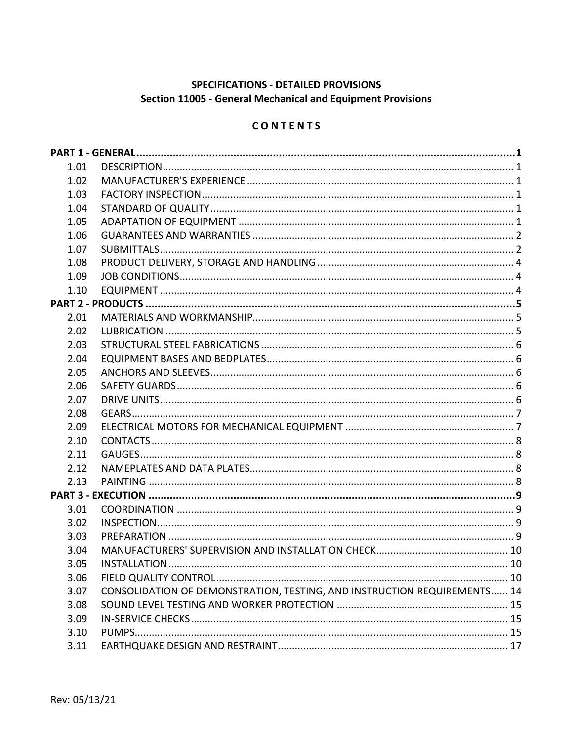# SPECIFICATIONS - DETAILED PROVISIONS Section 11005 - General Mechanical and Equipment Provisions

## CONTENTS

| 1.01 |                                                                          |  |
|------|--------------------------------------------------------------------------|--|
| 1.02 |                                                                          |  |
| 1.03 |                                                                          |  |
| 1.04 |                                                                          |  |
| 1.05 |                                                                          |  |
| 1.06 |                                                                          |  |
| 1.07 |                                                                          |  |
| 1.08 |                                                                          |  |
| 1.09 |                                                                          |  |
| 1.10 |                                                                          |  |
|      |                                                                          |  |
| 2.01 |                                                                          |  |
| 2.02 |                                                                          |  |
| 2.03 |                                                                          |  |
| 2.04 |                                                                          |  |
| 2.05 |                                                                          |  |
| 2.06 |                                                                          |  |
| 2.07 |                                                                          |  |
| 2.08 |                                                                          |  |
| 2.09 |                                                                          |  |
| 2.10 |                                                                          |  |
| 2.11 |                                                                          |  |
| 2.12 |                                                                          |  |
| 2.13 |                                                                          |  |
|      |                                                                          |  |
| 3.01 |                                                                          |  |
| 3.02 |                                                                          |  |
| 3.03 |                                                                          |  |
| 3.04 |                                                                          |  |
| 3.05 |                                                                          |  |
| 3.06 |                                                                          |  |
| 3.07 | CONSOLIDATION OF DEMONSTRATION, TESTING, AND INSTRUCTION REQUIREMENTS 14 |  |
| 3.08 |                                                                          |  |
| 3.09 |                                                                          |  |
| 3.10 |                                                                          |  |
| 3.11 |                                                                          |  |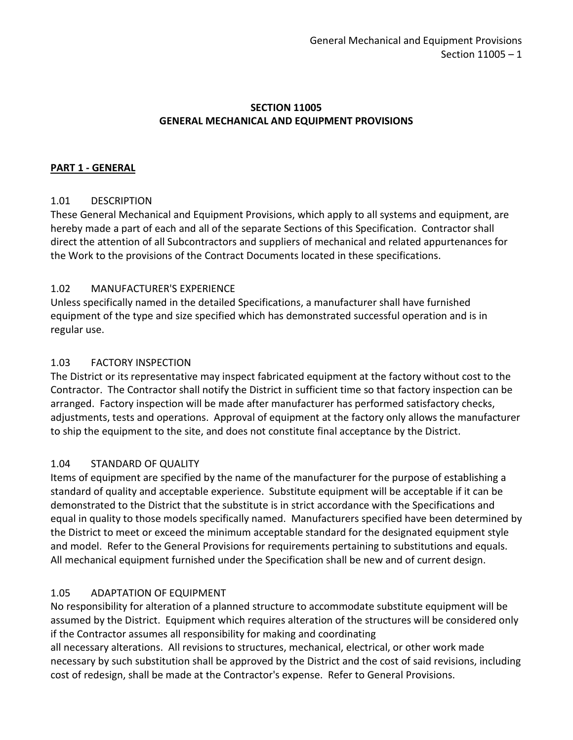### **SECTION 11005 GENERAL MECHANICAL AND EQUIPMENT PROVISIONS**

#### <span id="page-2-0"></span>**PART 1 - GENERAL**

### <span id="page-2-1"></span>1.01 DESCRIPTION

These General Mechanical and Equipment Provisions, which apply to all systems and equipment, are hereby made a part of each and all of the separate Sections of this Specification. Contractor shall direct the attention of all Subcontractors and suppliers of mechanical and related appurtenances for the Work to the provisions of the Contract Documents located in these specifications.

#### <span id="page-2-2"></span>1.02 MANUFACTURER'S EXPERIENCE

Unless specifically named in the detailed Specifications, a manufacturer shall have furnished equipment of the type and size specified which has demonstrated successful operation and is in regular use.

#### <span id="page-2-3"></span>1.03 FACTORY INSPECTION

The District or its representative may inspect fabricated equipment at the factory without cost to the Contractor. The Contractor shall notify the District in sufficient time so that factory inspection can be arranged. Factory inspection will be made after manufacturer has performed satisfactory checks, adjustments, tests and operations. Approval of equipment at the factory only allows the manufacturer to ship the equipment to the site, and does not constitute final acceptance by the District.

### <span id="page-2-4"></span>1.04 STANDARD OF QUALITY

Items of equipment are specified by the name of the manufacturer for the purpose of establishing a standard of quality and acceptable experience. Substitute equipment will be acceptable if it can be demonstrated to the District that the substitute is in strict accordance with the Specifications and equal in quality to those models specifically named. Manufacturers specified have been determined by the District to meet or exceed the minimum acceptable standard for the designated equipment style and model. Refer to the General Provisions for requirements pertaining to substitutions and equals. All mechanical equipment furnished under the Specification shall be new and of current design.

### <span id="page-2-5"></span>1.05 ADAPTATION OF EQUIPMENT

No responsibility for alteration of a planned structure to accommodate substitute equipment will be assumed by the District. Equipment which requires alteration of the structures will be considered only if the Contractor assumes all responsibility for making and coordinating

all necessary alterations. All revisions to structures, mechanical, electrical, or other work made necessary by such substitution shall be approved by the District and the cost of said revisions, including cost of redesign, shall be made at the Contractor's expense. Refer to General Provisions.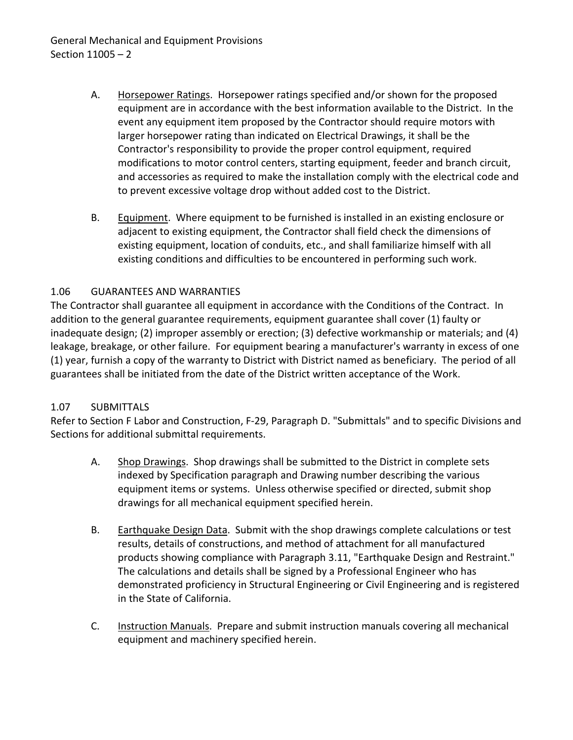- A. Horsepower Ratings. Horsepower ratings specified and/or shown for the proposed equipment are in accordance with the best information available to the District. In the event any equipment item proposed by the Contractor should require motors with larger horsepower rating than indicated on Electrical Drawings, it shall be the Contractor's responsibility to provide the proper control equipment, required modifications to motor control centers, starting equipment, feeder and branch circuit, and accessories as required to make the installation comply with the electrical code and to prevent excessive voltage drop without added cost to the District.
- B. Equipment. Where equipment to be furnished is installed in an existing enclosure or adjacent to existing equipment, the Contractor shall field check the dimensions of existing equipment, location of conduits, etc., and shall familiarize himself with all existing conditions and difficulties to be encountered in performing such work.

## <span id="page-3-0"></span>1.06 GUARANTEES AND WARRANTIES

The Contractor shall guarantee all equipment in accordance with the Conditions of the Contract. In addition to the general guarantee requirements, equipment guarantee shall cover (1) faulty or inadequate design; (2) improper assembly or erection; (3) defective workmanship or materials; and (4) leakage, breakage, or other failure. For equipment bearing a manufacturer's warranty in excess of one (1) year, furnish a copy of the warranty to District with District named as beneficiary. The period of all guarantees shall be initiated from the date of the District written acceptance of the Work.

### <span id="page-3-1"></span>1.07 SUBMITTALS

Refer to Section F Labor and Construction, F-29, Paragraph D. "Submittals" and to specific Divisions and Sections for additional submittal requirements.

- A. Shop Drawings. Shop drawings shall be submitted to the District in complete sets indexed by Specification paragraph and Drawing number describing the various equipment items or systems. Unless otherwise specified or directed, submit shop drawings for all mechanical equipment specified herein.
- B. Earthquake Design Data. Submit with the shop drawings complete calculations or test results, details of constructions, and method of attachment for all manufactured products showing compliance with Paragraph 3.11, "Earthquake Design and Restraint." The calculations and details shall be signed by a Professional Engineer who has demonstrated proficiency in Structural Engineering or Civil Engineering and is registered in the State of California.
- C. Instruction Manuals. Prepare and submit instruction manuals covering all mechanical equipment and machinery specified herein.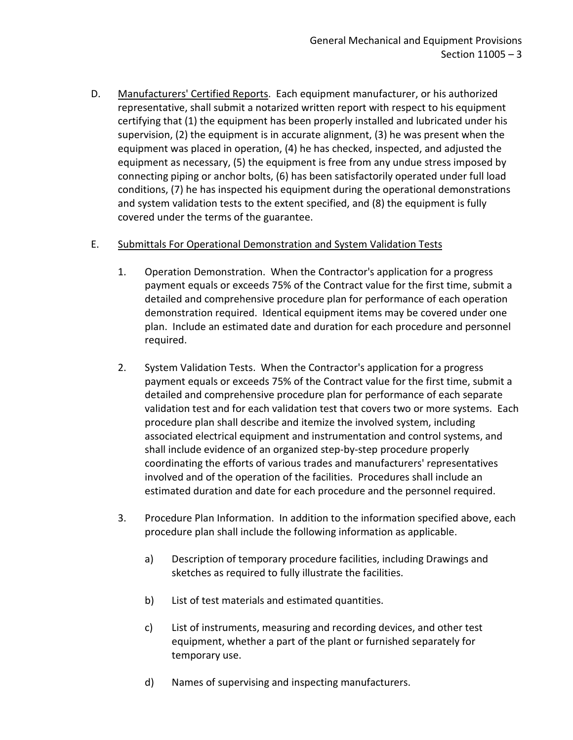D. Manufacturers' Certified Reports. Each equipment manufacturer, or his authorized representative, shall submit a notarized written report with respect to his equipment certifying that (1) the equipment has been properly installed and lubricated under his supervision, (2) the equipment is in accurate alignment, (3) he was present when the equipment was placed in operation, (4) he has checked, inspected, and adjusted the equipment as necessary, (5) the equipment is free from any undue stress imposed by connecting piping or anchor bolts, (6) has been satisfactorily operated under full load conditions, (7) he has inspected his equipment during the operational demonstrations and system validation tests to the extent specified, and (8) the equipment is fully covered under the terms of the guarantee.

### E. Submittals For Operational Demonstration and System Validation Tests

- 1. Operation Demonstration. When the Contractor's application for a progress payment equals or exceeds 75% of the Contract value for the first time, submit a detailed and comprehensive procedure plan for performance of each operation demonstration required. Identical equipment items may be covered under one plan. Include an estimated date and duration for each procedure and personnel required.
- 2. System Validation Tests. When the Contractor's application for a progress payment equals or exceeds 75% of the Contract value for the first time, submit a detailed and comprehensive procedure plan for performance of each separate validation test and for each validation test that covers two or more systems. Each procedure plan shall describe and itemize the involved system, including associated electrical equipment and instrumentation and control systems, and shall include evidence of an organized step-by-step procedure properly coordinating the efforts of various trades and manufacturers' representatives involved and of the operation of the facilities. Procedures shall include an estimated duration and date for each procedure and the personnel required.
- 3. Procedure Plan Information. In addition to the information specified above, each procedure plan shall include the following information as applicable.
	- a) Description of temporary procedure facilities, including Drawings and sketches as required to fully illustrate the facilities.
	- b) List of test materials and estimated quantities.
	- c) List of instruments, measuring and recording devices, and other test equipment, whether a part of the plant or furnished separately for temporary use.
	- d) Names of supervising and inspecting manufacturers.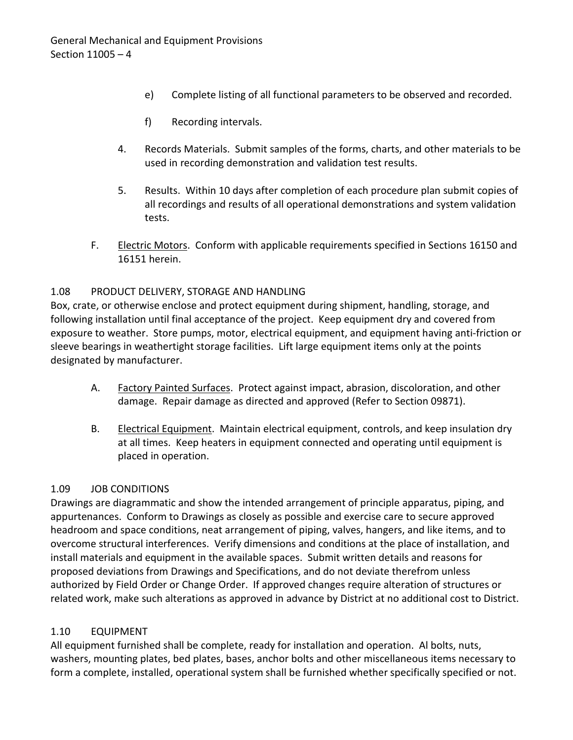- e) Complete listing of all functional parameters to be observed and recorded.
- f) Recording intervals.
- 4. Records Materials. Submit samples of the forms, charts, and other materials to be used in recording demonstration and validation test results.
- 5. Results. Within 10 days after completion of each procedure plan submit copies of all recordings and results of all operational demonstrations and system validation tests.
- F. Electric Motors. Conform with applicable requirements specified in Sections 16150 and 16151 herein.

## <span id="page-5-0"></span>1.08 PRODUCT DELIVERY, STORAGE AND HANDLING

Box, crate, or otherwise enclose and protect equipment during shipment, handling, storage, and following installation until final acceptance of the project. Keep equipment dry and covered from exposure to weather. Store pumps, motor, electrical equipment, and equipment having anti-friction or sleeve bearings in weathertight storage facilities. Lift large equipment items only at the points designated by manufacturer.

- A. Factory Painted Surfaces. Protect against impact, abrasion, discoloration, and other damage. Repair damage as directed and approved (Refer to Section 09871).
- B. Electrical Equipment. Maintain electrical equipment, controls, and keep insulation dry at all times. Keep heaters in equipment connected and operating until equipment is placed in operation.

### <span id="page-5-1"></span>1.09 JOB CONDITIONS

Drawings are diagrammatic and show the intended arrangement of principle apparatus, piping, and appurtenances. Conform to Drawings as closely as possible and exercise care to secure approved headroom and space conditions, neat arrangement of piping, valves, hangers, and like items, and to overcome structural interferences. Verify dimensions and conditions at the place of installation, and install materials and equipment in the available spaces. Submit written details and reasons for proposed deviations from Drawings and Specifications, and do not deviate therefrom unless authorized by Field Order or Change Order. If approved changes require alteration of structures or related work, make such alterations as approved in advance by District at no additional cost to District.

## <span id="page-5-2"></span>1.10 EQUIPMENT

All equipment furnished shall be complete, ready for installation and operation. Al bolts, nuts, washers, mounting plates, bed plates, bases, anchor bolts and other miscellaneous items necessary to form a complete, installed, operational system shall be furnished whether specifically specified or not.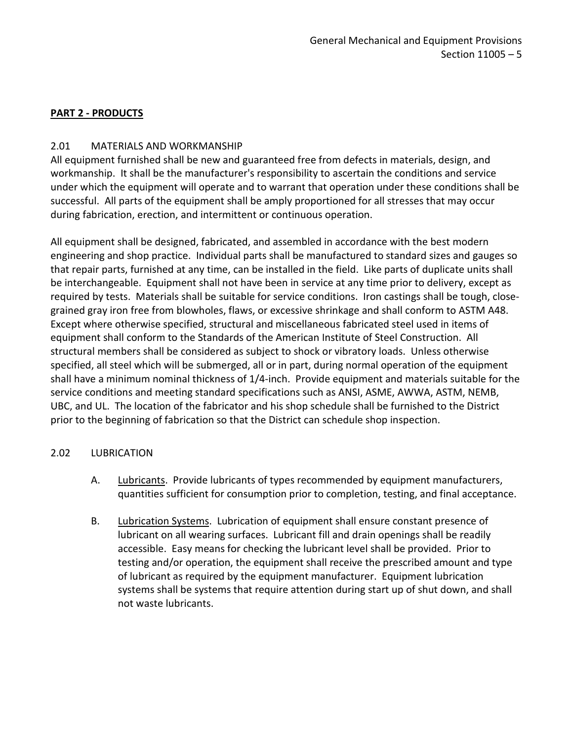### <span id="page-6-0"></span>**PART 2 - PRODUCTS**

### <span id="page-6-1"></span>2.01 MATERIALS AND WORKMANSHIP

All equipment furnished shall be new and guaranteed free from defects in materials, design, and workmanship. It shall be the manufacturer's responsibility to ascertain the conditions and service under which the equipment will operate and to warrant that operation under these conditions shall be successful. All parts of the equipment shall be amply proportioned for all stresses that may occur during fabrication, erection, and intermittent or continuous operation.

All equipment shall be designed, fabricated, and assembled in accordance with the best modern engineering and shop practice. Individual parts shall be manufactured to standard sizes and gauges so that repair parts, furnished at any time, can be installed in the field. Like parts of duplicate units shall be interchangeable. Equipment shall not have been in service at any time prior to delivery, except as required by tests. Materials shall be suitable for service conditions. Iron castings shall be tough, closegrained gray iron free from blowholes, flaws, or excessive shrinkage and shall conform to ASTM A48. Except where otherwise specified, structural and miscellaneous fabricated steel used in items of equipment shall conform to the Standards of the American Institute of Steel Construction. All structural members shall be considered as subject to shock or vibratory loads. Unless otherwise specified, all steel which will be submerged, all or in part, during normal operation of the equipment shall have a minimum nominal thickness of 1/4-inch. Provide equipment and materials suitable for the service conditions and meeting standard specifications such as ANSI, ASME, AWWA, ASTM, NEMB, UBC, and UL. The location of the fabricator and his shop schedule shall be furnished to the District prior to the beginning of fabrication so that the District can schedule shop inspection.

### <span id="page-6-2"></span>2.02 LUBRICATION

- A. Lubricants. Provide lubricants of types recommended by equipment manufacturers, quantities sufficient for consumption prior to completion, testing, and final acceptance.
- B. Lubrication Systems. Lubrication of equipment shall ensure constant presence of lubricant on all wearing surfaces. Lubricant fill and drain openings shall be readily accessible. Easy means for checking the lubricant level shall be provided. Prior to testing and/or operation, the equipment shall receive the prescribed amount and type of lubricant as required by the equipment manufacturer. Equipment lubrication systems shall be systems that require attention during start up of shut down, and shall not waste lubricants.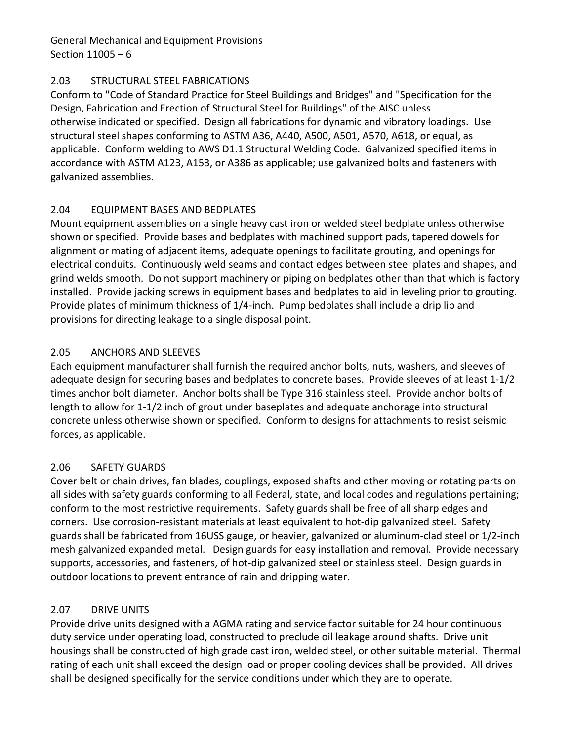### <span id="page-7-0"></span>2.03 STRUCTURAL STEEL FABRICATIONS

Conform to "Code of Standard Practice for Steel Buildings and Bridges" and "Specification for the Design, Fabrication and Erection of Structural Steel for Buildings" of the AISC unless otherwise indicated or specified. Design all fabrications for dynamic and vibratory loadings. Use structural steel shapes conforming to ASTM A36, A440, A500, A501, A570, A618, or equal, as applicable. Conform welding to AWS D1.1 Structural Welding Code. Galvanized specified items in accordance with ASTM A123, A153, or A386 as applicable; use galvanized bolts and fasteners with galvanized assemblies.

## <span id="page-7-1"></span>2.04 EQUIPMENT BASES AND BEDPLATES

Mount equipment assemblies on a single heavy cast iron or welded steel bedplate unless otherwise shown or specified. Provide bases and bedplates with machined support pads, tapered dowels for alignment or mating of adjacent items, adequate openings to facilitate grouting, and openings for electrical conduits. Continuously weld seams and contact edges between steel plates and shapes, and grind welds smooth. Do not support machinery or piping on bedplates other than that which is factory installed. Provide jacking screws in equipment bases and bedplates to aid in leveling prior to grouting. Provide plates of minimum thickness of 1/4-inch. Pump bedplates shall include a drip lip and provisions for directing leakage to a single disposal point.

## <span id="page-7-2"></span>2.05 ANCHORS AND SLEEVES

Each equipment manufacturer shall furnish the required anchor bolts, nuts, washers, and sleeves of adequate design for securing bases and bedplates to concrete bases. Provide sleeves of at least 1-1/2 times anchor bolt diameter. Anchor bolts shall be Type 316 stainless steel. Provide anchor bolts of length to allow for 1-1/2 inch of grout under baseplates and adequate anchorage into structural concrete unless otherwise shown or specified. Conform to designs for attachments to resist seismic forces, as applicable.

## <span id="page-7-3"></span>2.06 SAFETY GUARDS

Cover belt or chain drives, fan blades, couplings, exposed shafts and other moving or rotating parts on all sides with safety guards conforming to all Federal, state, and local codes and regulations pertaining; conform to the most restrictive requirements. Safety guards shall be free of all sharp edges and corners. Use corrosion-resistant materials at least equivalent to hot-dip galvanized steel. Safety guards shall be fabricated from 16USS gauge, or heavier, galvanized or aluminum-clad steel or 1/2-inch mesh galvanized expanded metal. Design guards for easy installation and removal. Provide necessary supports, accessories, and fasteners, of hot-dip galvanized steel or stainless steel. Design guards in outdoor locations to prevent entrance of rain and dripping water.

### <span id="page-7-4"></span>2.07 DRIVE UNITS

Provide drive units designed with a AGMA rating and service factor suitable for 24 hour continuous duty service under operating load, constructed to preclude oil leakage around shafts. Drive unit housings shall be constructed of high grade cast iron, welded steel, or other suitable material. Thermal rating of each unit shall exceed the design load or proper cooling devices shall be provided. All drives shall be designed specifically for the service conditions under which they are to operate.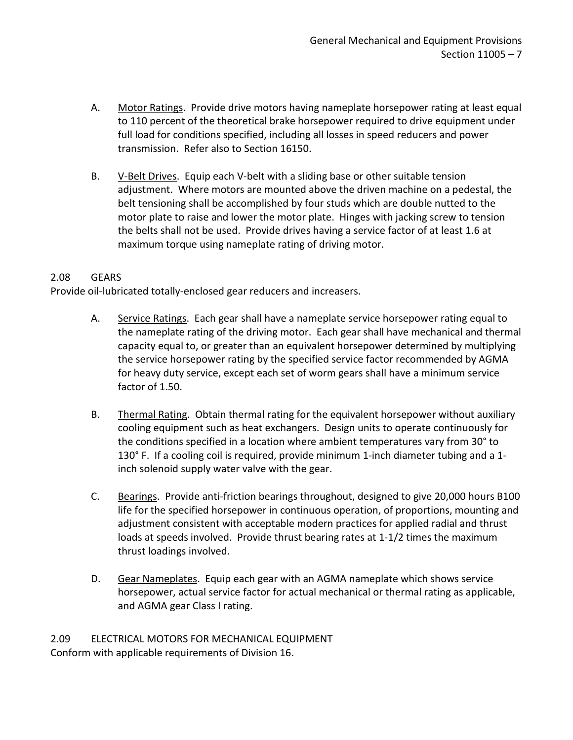- A. Motor Ratings. Provide drive motors having nameplate horsepower rating at least equal to 110 percent of the theoretical brake horsepower required to drive equipment under full load for conditions specified, including all losses in speed reducers and power transmission. Refer also to Section 16150.
- B. V-Belt Drives. Equip each V-belt with a sliding base or other suitable tension adjustment. Where motors are mounted above the driven machine on a pedestal, the belt tensioning shall be accomplished by four studs which are double nutted to the motor plate to raise and lower the motor plate. Hinges with jacking screw to tension the belts shall not be used. Provide drives having a service factor of at least 1.6 at maximum torque using nameplate rating of driving motor.

#### <span id="page-8-0"></span>2.08 GEARS

Provide oil-lubricated totally-enclosed gear reducers and increasers.

- A. Service Ratings. Each gear shall have a nameplate service horsepower rating equal to the nameplate rating of the driving motor. Each gear shall have mechanical and thermal capacity equal to, or greater than an equivalent horsepower determined by multiplying the service horsepower rating by the specified service factor recommended by AGMA for heavy duty service, except each set of worm gears shall have a minimum service factor of 1.50.
- B. Thermal Rating. Obtain thermal rating for the equivalent horsepower without auxiliary cooling equipment such as heat exchangers. Design units to operate continuously for the conditions specified in a location where ambient temperatures vary from 30° to 130° F. If a cooling coil is required, provide minimum 1-inch diameter tubing and a 1 inch solenoid supply water valve with the gear.
- C. Bearings. Provide anti-friction bearings throughout, designed to give 20,000 hours B100 life for the specified horsepower in continuous operation, of proportions, mounting and adjustment consistent with acceptable modern practices for applied radial and thrust loads at speeds involved. Provide thrust bearing rates at 1-1/2 times the maximum thrust loadings involved.
- D. Gear Nameplates. Equip each gear with an AGMA nameplate which shows service horsepower, actual service factor for actual mechanical or thermal rating as applicable, and AGMA gear Class I rating.

<span id="page-8-1"></span>2.09 ELECTRICAL MOTORS FOR MECHANICAL EQUIPMENT Conform with applicable requirements of Division 16.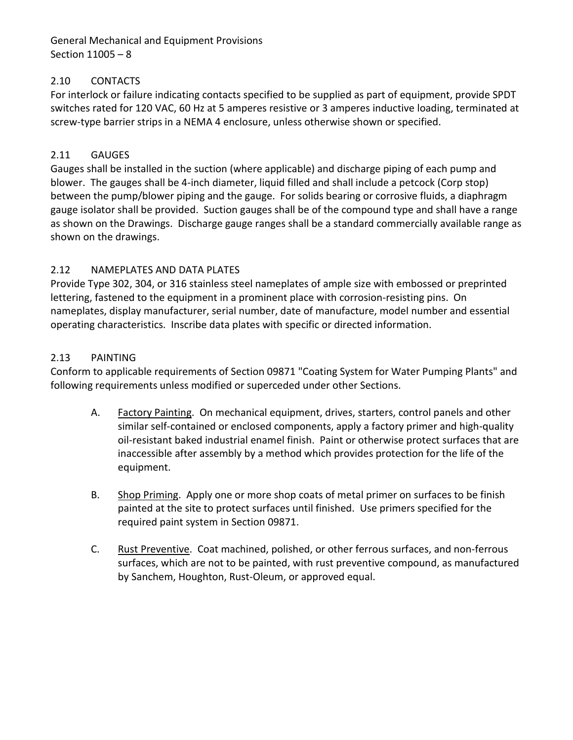### <span id="page-9-0"></span>2.10 CONTACTS

For interlock or failure indicating contacts specified to be supplied as part of equipment, provide SPDT switches rated for 120 VAC, 60 Hz at 5 amperes resistive or 3 amperes inductive loading, terminated at screw-type barrier strips in a NEMA 4 enclosure, unless otherwise shown or specified.

#### <span id="page-9-1"></span>2.11 GAUGES

Gauges shall be installed in the suction (where applicable) and discharge piping of each pump and blower. The gauges shall be 4-inch diameter, liquid filled and shall include a petcock (Corp stop) between the pump/blower piping and the gauge. For solids bearing or corrosive fluids, a diaphragm gauge isolator shall be provided. Suction gauges shall be of the compound type and shall have a range as shown on the Drawings. Discharge gauge ranges shall be a standard commercially available range as shown on the drawings.

#### <span id="page-9-2"></span>2.12 NAMEPLATES AND DATA PLATES

Provide Type 302, 304, or 316 stainless steel nameplates of ample size with embossed or preprinted lettering, fastened to the equipment in a prominent place with corrosion-resisting pins. On nameplates, display manufacturer, serial number, date of manufacture, model number and essential operating characteristics. Inscribe data plates with specific or directed information.

#### <span id="page-9-3"></span>2.13 PAINTING

Conform to applicable requirements of Section 09871 "Coating System for Water Pumping Plants" and following requirements unless modified or superceded under other Sections.

- A. Factory Painting. On mechanical equipment, drives, starters, control panels and other similar self-contained or enclosed components, apply a factory primer and high-quality oil-resistant baked industrial enamel finish. Paint or otherwise protect surfaces that are inaccessible after assembly by a method which provides protection for the life of the equipment.
- B. Shop Priming. Apply one or more shop coats of metal primer on surfaces to be finish painted at the site to protect surfaces until finished. Use primers specified for the required paint system in Section 09871.
- <span id="page-9-4"></span>C. Rust Preventive. Coat machined, polished, or other ferrous surfaces, and non-ferrous surfaces, which are not to be painted, with rust preventive compound, as manufactured by Sanchem, Houghton, Rust-Oleum, or approved equal.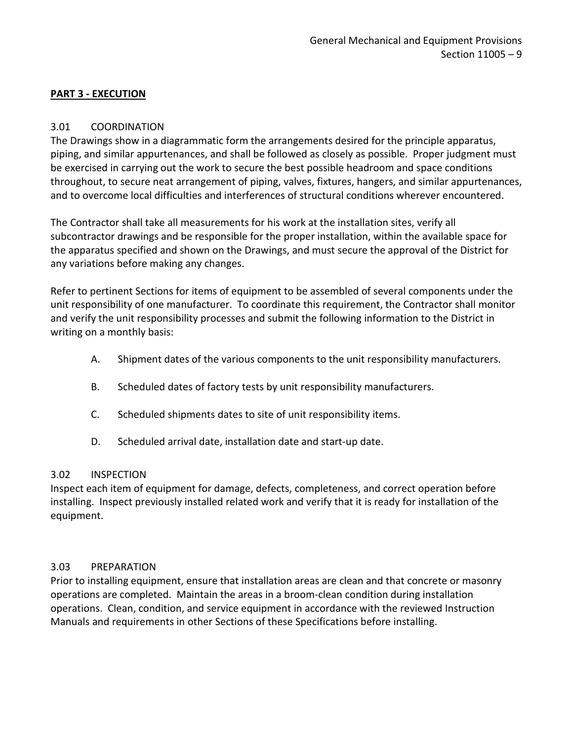#### **PART 3 - EXECUTION**

#### <span id="page-10-0"></span>3.01 COORDINATION

The Drawings show in a diagrammatic form the arrangements desired for the principle apparatus, piping, and similar appurtenances, and shall be followed as closely as possible. Proper judgment must be exercised in carrying out the work to secure the best possible headroom and space conditions throughout, to secure neat arrangement of piping, valves, fixtures, hangers, and similar appurtenances, and to overcome local difficulties and interferences of structural conditions wherever encountered.

The Contractor shall take all measurements for his work at the installation sites, verify all subcontractor drawings and be responsible for the proper installation, within the available space for the apparatus specified and shown on the Drawings, and must secure the approval of the District for any variations before making any changes.

Refer to pertinent Sections for items of equipment to be assembled of several components under the unit responsibility of one manufacturer. To coordinate this requirement, the Contractor shall monitor and verify the unit responsibility processes and submit the following information to the District in writing on a monthly basis:

- A. Shipment dates of the various components to the unit responsibility manufacturers.
- B. Scheduled dates of factory tests by unit responsibility manufacturers.
- C. Scheduled shipments dates to site of unit responsibility items.
- D. Scheduled arrival date, installation date and start-up date.

#### <span id="page-10-1"></span>3.02 INSPECTION

<span id="page-10-2"></span>Inspect each item of equipment for damage, defects, completeness, and correct operation before installing. Inspect previously installed related work and verify that it is ready for installation of the equipment.

#### 3.03 PREPARATION

Prior to installing equipment, ensure that installation areas are clean and that concrete or masonry operations are completed. Maintain the areas in a broom-clean condition during installation operations. Clean, condition, and service equipment in accordance with the reviewed Instruction Manuals and requirements in other Sections of these Specifications before installing.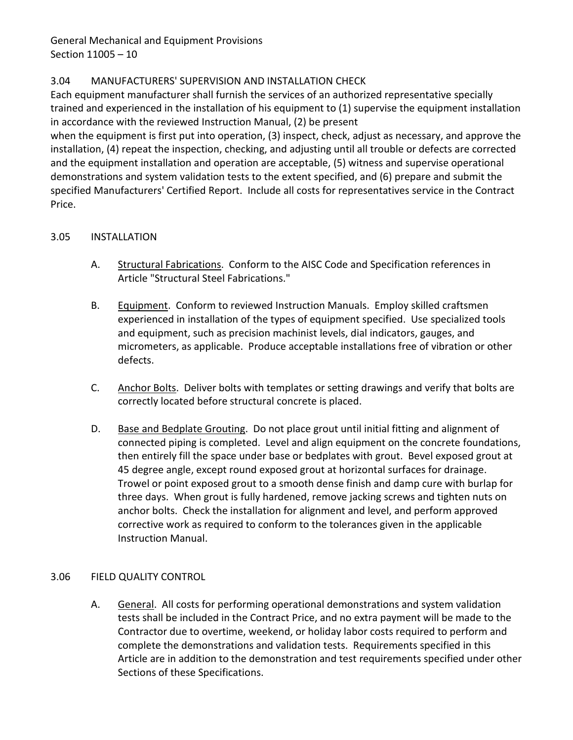## <span id="page-11-0"></span>3.04 MANUFACTURERS' SUPERVISION AND INSTALLATION CHECK

Each equipment manufacturer shall furnish the services of an authorized representative specially trained and experienced in the installation of his equipment to (1) supervise the equipment installation in accordance with the reviewed Instruction Manual, (2) be present

when the equipment is first put into operation, (3) inspect, check, adjust as necessary, and approve the installation, (4) repeat the inspection, checking, and adjusting until all trouble or defects are corrected and the equipment installation and operation are acceptable, (5) witness and supervise operational demonstrations and system validation tests to the extent specified, and (6) prepare and submit the specified Manufacturers' Certified Report. Include all costs for representatives service in the Contract Price.

### <span id="page-11-1"></span>3.05 INSTALLATION

- A. Structural Fabrications. Conform to the AISC Code and Specification references in Article "Structural Steel Fabrications."
- B. Equipment. Conform to reviewed Instruction Manuals. Employ skilled craftsmen experienced in installation of the types of equipment specified. Use specialized tools and equipment, such as precision machinist levels, dial indicators, gauges, and micrometers, as applicable. Produce acceptable installations free of vibration or other defects.
- C. Anchor Bolts. Deliver bolts with templates or setting drawings and verify that bolts are correctly located before structural concrete is placed.
- D. Base and Bedplate Grouting. Do not place grout until initial fitting and alignment of connected piping is completed. Level and align equipment on the concrete foundations, then entirely fill the space under base or bedplates with grout. Bevel exposed grout at 45 degree angle, except round exposed grout at horizontal surfaces for drainage. Trowel or point exposed grout to a smooth dense finish and damp cure with burlap for three days. When grout is fully hardened, remove jacking screws and tighten nuts on anchor bolts. Check the installation for alignment and level, and perform approved corrective work as required to conform to the tolerances given in the applicable Instruction Manual.

### <span id="page-11-2"></span>3.06 FIELD QUALITY CONTROL

A. General. All costs for performing operational demonstrations and system validation tests shall be included in the Contract Price, and no extra payment will be made to the Contractor due to overtime, weekend, or holiday labor costs required to perform and complete the demonstrations and validation tests. Requirements specified in this Article are in addition to the demonstration and test requirements specified under other Sections of these Specifications.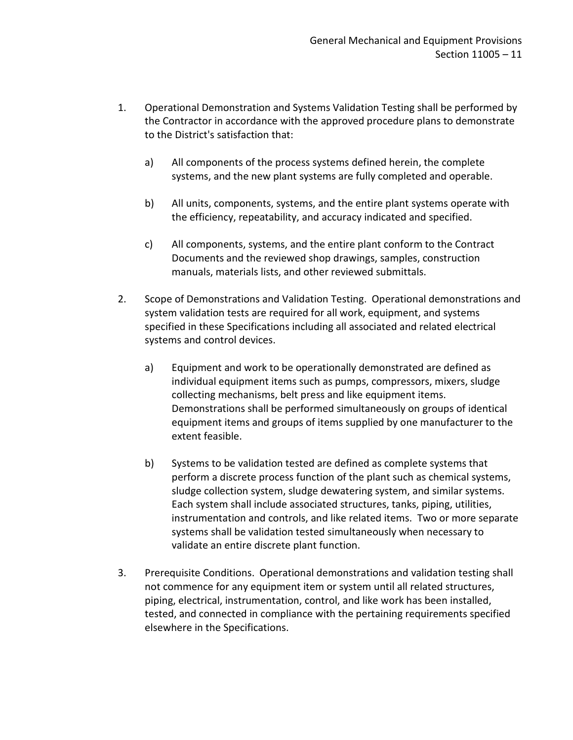- 1. Operational Demonstration and Systems Validation Testing shall be performed by the Contractor in accordance with the approved procedure plans to demonstrate to the District's satisfaction that:
	- a) All components of the process systems defined herein, the complete systems, and the new plant systems are fully completed and operable.
	- b) All units, components, systems, and the entire plant systems operate with the efficiency, repeatability, and accuracy indicated and specified.
	- c) All components, systems, and the entire plant conform to the Contract Documents and the reviewed shop drawings, samples, construction manuals, materials lists, and other reviewed submittals.
- 2. Scope of Demonstrations and Validation Testing. Operational demonstrations and system validation tests are required for all work, equipment, and systems specified in these Specifications including all associated and related electrical systems and control devices.
	- a) Equipment and work to be operationally demonstrated are defined as individual equipment items such as pumps, compressors, mixers, sludge collecting mechanisms, belt press and like equipment items. Demonstrations shall be performed simultaneously on groups of identical equipment items and groups of items supplied by one manufacturer to the extent feasible.
	- b) Systems to be validation tested are defined as complete systems that perform a discrete process function of the plant such as chemical systems, sludge collection system, sludge dewatering system, and similar systems. Each system shall include associated structures, tanks, piping, utilities, instrumentation and controls, and like related items. Two or more separate systems shall be validation tested simultaneously when necessary to validate an entire discrete plant function.
- 3. Prerequisite Conditions. Operational demonstrations and validation testing shall not commence for any equipment item or system until all related structures, piping, electrical, instrumentation, control, and like work has been installed, tested, and connected in compliance with the pertaining requirements specified elsewhere in the Specifications.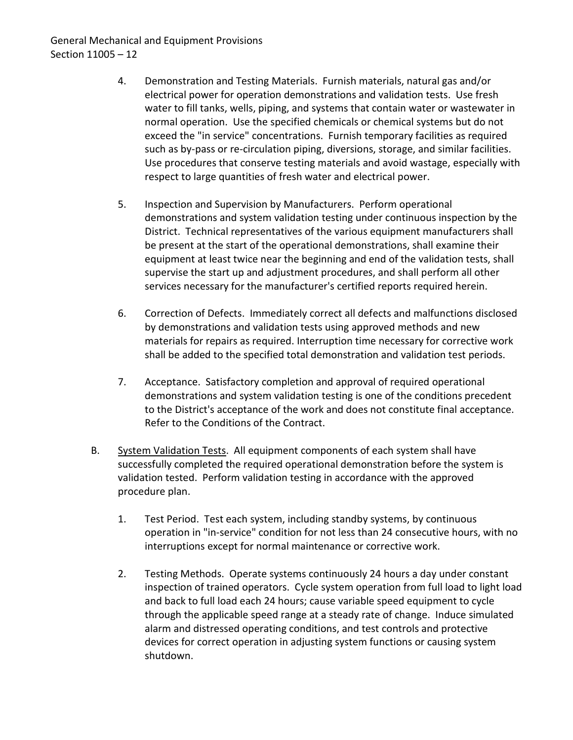- 4. Demonstration and Testing Materials. Furnish materials, natural gas and/or electrical power for operation demonstrations and validation tests. Use fresh water to fill tanks, wells, piping, and systems that contain water or wastewater in normal operation. Use the specified chemicals or chemical systems but do not exceed the "in service" concentrations. Furnish temporary facilities as required such as by-pass or re-circulation piping, diversions, storage, and similar facilities. Use procedures that conserve testing materials and avoid wastage, especially with respect to large quantities of fresh water and electrical power.
- 5. Inspection and Supervision by Manufacturers. Perform operational demonstrations and system validation testing under continuous inspection by the District. Technical representatives of the various equipment manufacturers shall be present at the start of the operational demonstrations, shall examine their equipment at least twice near the beginning and end of the validation tests, shall supervise the start up and adjustment procedures, and shall perform all other services necessary for the manufacturer's certified reports required herein.
- 6. Correction of Defects. Immediately correct all defects and malfunctions disclosed by demonstrations and validation tests using approved methods and new materials for repairs as required. Interruption time necessary for corrective work shall be added to the specified total demonstration and validation test periods.
- 7. Acceptance. Satisfactory completion and approval of required operational demonstrations and system validation testing is one of the conditions precedent to the District's acceptance of the work and does not constitute final acceptance. Refer to the Conditions of the Contract.
- B. System Validation Tests. All equipment components of each system shall have successfully completed the required operational demonstration before the system is validation tested. Perform validation testing in accordance with the approved procedure plan.
	- 1. Test Period. Test each system, including standby systems, by continuous operation in "in-service" condition for not less than 24 consecutive hours, with no interruptions except for normal maintenance or corrective work.
	- 2. Testing Methods. Operate systems continuously 24 hours a day under constant inspection of trained operators. Cycle system operation from full load to light load and back to full load each 24 hours; cause variable speed equipment to cycle through the applicable speed range at a steady rate of change. Induce simulated alarm and distressed operating conditions, and test controls and protective devices for correct operation in adjusting system functions or causing system shutdown.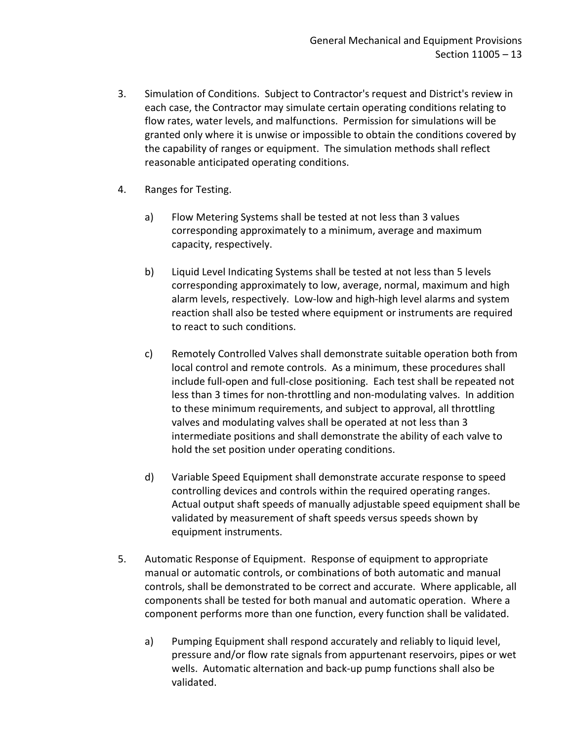- 3. Simulation of Conditions. Subject to Contractor's request and District's review in each case, the Contractor may simulate certain operating conditions relating to flow rates, water levels, and malfunctions. Permission for simulations will be granted only where it is unwise or impossible to obtain the conditions covered by the capability of ranges or equipment. The simulation methods shall reflect reasonable anticipated operating conditions.
- 4. Ranges for Testing.
	- a) Flow Metering Systems shall be tested at not less than 3 values corresponding approximately to a minimum, average and maximum capacity, respectively.
	- b) Liquid Level Indicating Systems shall be tested at not less than 5 levels corresponding approximately to low, average, normal, maximum and high alarm levels, respectively. Low-low and high-high level alarms and system reaction shall also be tested where equipment or instruments are required to react to such conditions.
	- c) Remotely Controlled Valves shall demonstrate suitable operation both from local control and remote controls. As a minimum, these procedures shall include full-open and full-close positioning. Each test shall be repeated not less than 3 times for non-throttling and non-modulating valves. In addition to these minimum requirements, and subject to approval, all throttling valves and modulating valves shall be operated at not less than 3 intermediate positions and shall demonstrate the ability of each valve to hold the set position under operating conditions.
	- d) Variable Speed Equipment shall demonstrate accurate response to speed controlling devices and controls within the required operating ranges. Actual output shaft speeds of manually adjustable speed equipment shall be validated by measurement of shaft speeds versus speeds shown by equipment instruments.
- 5. Automatic Response of Equipment. Response of equipment to appropriate manual or automatic controls, or combinations of both automatic and manual controls, shall be demonstrated to be correct and accurate. Where applicable, all components shall be tested for both manual and automatic operation. Where a component performs more than one function, every function shall be validated.
	- a) Pumping Equipment shall respond accurately and reliably to liquid level, pressure and/or flow rate signals from appurtenant reservoirs, pipes or wet wells. Automatic alternation and back-up pump functions shall also be validated.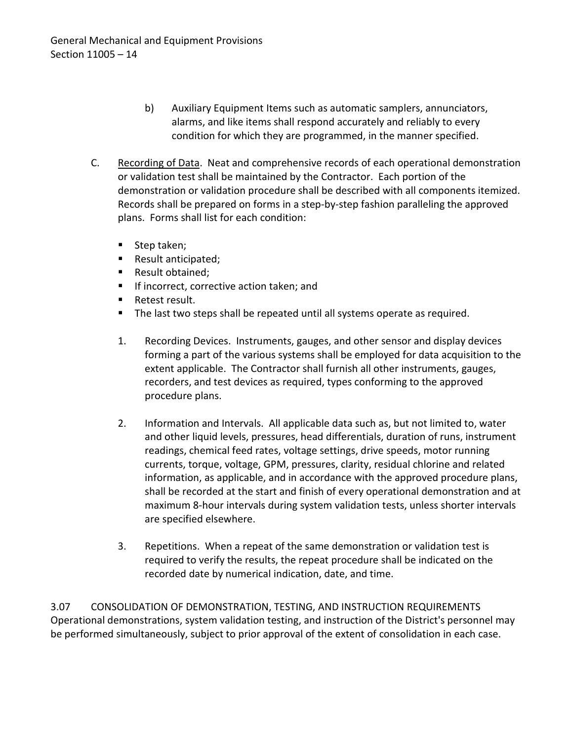- b) Auxiliary Equipment Items such as automatic samplers, annunciators, alarms, and like items shall respond accurately and reliably to every condition for which they are programmed, in the manner specified.
- C. Recording of Data. Neat and comprehensive records of each operational demonstration or validation test shall be maintained by the Contractor. Each portion of the demonstration or validation procedure shall be described with all components itemized. Records shall be prepared on forms in a step-by-step fashion paralleling the approved plans. Forms shall list for each condition:
	- Step taken;
	- Result anticipated;
	- **Result obtained;**
	- If incorrect, corrective action taken; and
	- **Retest result.**
	- The last two steps shall be repeated until all systems operate as required.
	- 1. Recording Devices. Instruments, gauges, and other sensor and display devices forming a part of the various systems shall be employed for data acquisition to the extent applicable. The Contractor shall furnish all other instruments, gauges, recorders, and test devices as required, types conforming to the approved procedure plans.
	- 2. Information and Intervals. All applicable data such as, but not limited to, water and other liquid levels, pressures, head differentials, duration of runs, instrument readings, chemical feed rates, voltage settings, drive speeds, motor running currents, torque, voltage, GPM, pressures, clarity, residual chlorine and related information, as applicable, and in accordance with the approved procedure plans, shall be recorded at the start and finish of every operational demonstration and at maximum 8-hour intervals during system validation tests, unless shorter intervals are specified elsewhere.
	- 3. Repetitions. When a repeat of the same demonstration or validation test is required to verify the results, the repeat procedure shall be indicated on the recorded date by numerical indication, date, and time.

<span id="page-15-0"></span>3.07 CONSOLIDATION OF DEMONSTRATION, TESTING, AND INSTRUCTION REQUIREMENTS Operational demonstrations, system validation testing, and instruction of the District's personnel may be performed simultaneously, subject to prior approval of the extent of consolidation in each case.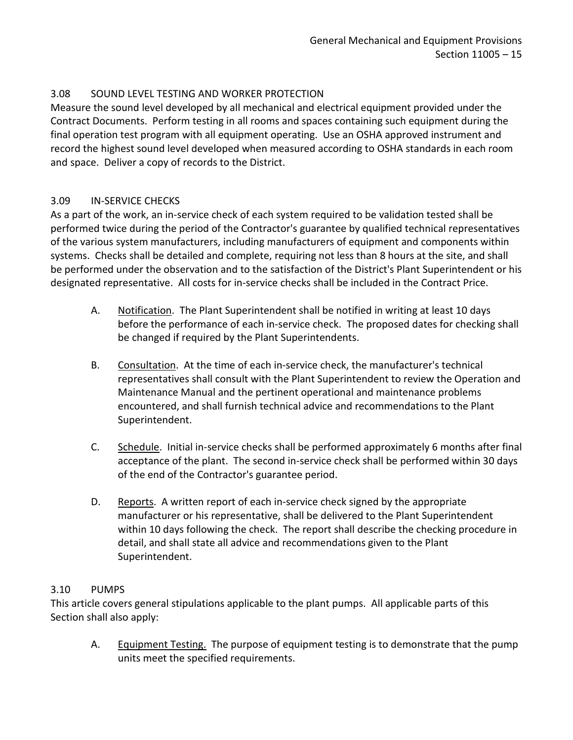## <span id="page-16-0"></span>3.08 SOUND LEVEL TESTING AND WORKER PROTECTION

Measure the sound level developed by all mechanical and electrical equipment provided under the Contract Documents. Perform testing in all rooms and spaces containing such equipment during the final operation test program with all equipment operating. Use an OSHA approved instrument and record the highest sound level developed when measured according to OSHA standards in each room and space. Deliver a copy of records to the District.

### <span id="page-16-1"></span>3.09 IN-SERVICE CHECKS

As a part of the work, an in-service check of each system required to be validation tested shall be performed twice during the period of the Contractor's guarantee by qualified technical representatives of the various system manufacturers, including manufacturers of equipment and components within systems. Checks shall be detailed and complete, requiring not less than 8 hours at the site, and shall be performed under the observation and to the satisfaction of the District's Plant Superintendent or his designated representative. All costs for in-service checks shall be included in the Contract Price.

- A. Notification. The Plant Superintendent shall be notified in writing at least 10 days before the performance of each in-service check. The proposed dates for checking shall be changed if required by the Plant Superintendents.
- B. Consultation. At the time of each in-service check, the manufacturer's technical representatives shall consult with the Plant Superintendent to review the Operation and Maintenance Manual and the pertinent operational and maintenance problems encountered, and shall furnish technical advice and recommendations to the Plant Superintendent.
- C. Schedule. Initial in-service checks shall be performed approximately 6 months after final acceptance of the plant. The second in-service check shall be performed within 30 days of the end of the Contractor's guarantee period.
- D. Reports. A written report of each in-service check signed by the appropriate manufacturer or his representative, shall be delivered to the Plant Superintendent within 10 days following the check. The report shall describe the checking procedure in detail, and shall state all advice and recommendations given to the Plant Superintendent.

### <span id="page-16-2"></span>3.10 PUMPS

This article covers general stipulations applicable to the plant pumps. All applicable parts of this Section shall also apply:

A. Equipment Testing. The purpose of equipment testing is to demonstrate that the pump units meet the specified requirements.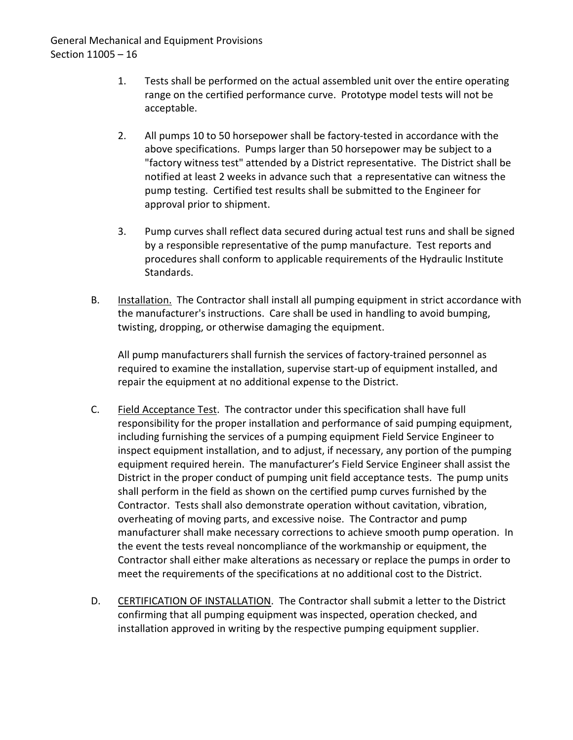- 1. Tests shall be performed on the actual assembled unit over the entire operating range on the certified performance curve. Prototype model tests will not be acceptable.
- 2. All pumps 10 to 50 horsepower shall be factory-tested in accordance with the above specifications. Pumps larger than 50 horsepower may be subject to a "factory witness test" attended by a District representative. The District shall be notified at least 2 weeks in advance such that a representative can witness the pump testing. Certified test results shall be submitted to the Engineer for approval prior to shipment.
- 3. Pump curves shall reflect data secured during actual test runs and shall be signed by a responsible representative of the pump manufacture. Test reports and procedures shall conform to applicable requirements of the Hydraulic Institute Standards.
- B. Installation. The Contractor shall install all pumping equipment in strict accordance with the manufacturer's instructions. Care shall be used in handling to avoid bumping, twisting, dropping, or otherwise damaging the equipment.

All pump manufacturers shall furnish the services of factory-trained personnel as required to examine the installation, supervise start-up of equipment installed, and repair the equipment at no additional expense to the District.

- C. Field Acceptance Test. The contractor under this specification shall have full responsibility for the proper installation and performance of said pumping equipment, including furnishing the services of a pumping equipment Field Service Engineer to inspect equipment installation, and to adjust, if necessary, any portion of the pumping equipment required herein. The manufacturer's Field Service Engineer shall assist the District in the proper conduct of pumping unit field acceptance tests. The pump units shall perform in the field as shown on the certified pump curves furnished by the Contractor. Tests shall also demonstrate operation without cavitation, vibration, overheating of moving parts, and excessive noise. The Contractor and pump manufacturer shall make necessary corrections to achieve smooth pump operation. In the event the tests reveal noncompliance of the workmanship or equipment, the Contractor shall either make alterations as necessary or replace the pumps in order to meet the requirements of the specifications at no additional cost to the District.
- D. CERTIFICATION OF INSTALLATION. The Contractor shall submit a letter to the District confirming that all pumping equipment was inspected, operation checked, and installation approved in writing by the respective pumping equipment supplier.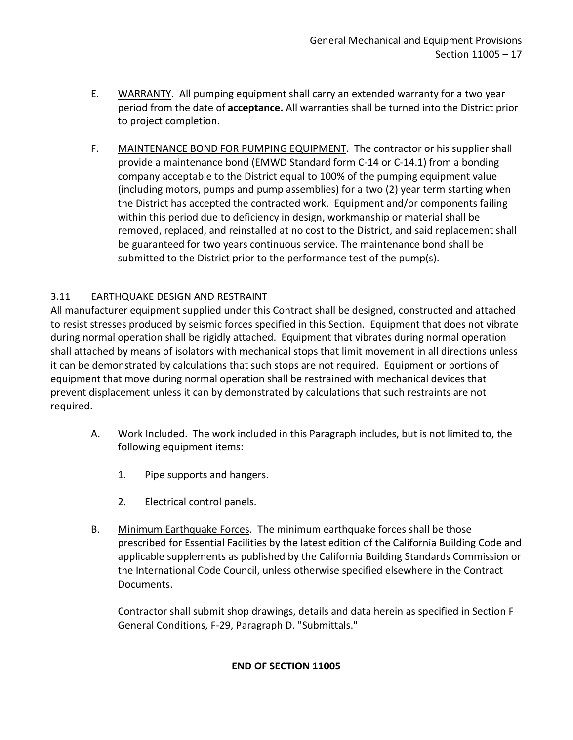- E. WARRANTY. All pumping equipment shall carry an extended warranty for a two year period from the date of **acceptance.** All warranties shall be turned into the District prior to project completion.
- F. MAINTENANCE BOND FOR PUMPING EQUIPMENT. The contractor or his supplier shall provide a maintenance bond (EMWD Standard form C-14 or C-14.1) from a bonding company acceptable to the District equal to 100% of the pumping equipment value (including motors, pumps and pump assemblies) for a two (2) year term starting when the District has accepted the contracted work. Equipment and/or components failing within this period due to deficiency in design, workmanship or material shall be removed, replaced, and reinstalled at no cost to the District, and said replacement shall be guaranteed for two years continuous service. The maintenance bond shall be submitted to the District prior to the performance test of the pump(s).

## <span id="page-18-0"></span>3.11 EARTHQUAKE DESIGN AND RESTRAINT

All manufacturer equipment supplied under this Contract shall be designed, constructed and attached to resist stresses produced by seismic forces specified in this Section. Equipment that does not vibrate during normal operation shall be rigidly attached. Equipment that vibrates during normal operation shall attached by means of isolators with mechanical stops that limit movement in all directions unless it can be demonstrated by calculations that such stops are not required. Equipment or portions of equipment that move during normal operation shall be restrained with mechanical devices that prevent displacement unless it can by demonstrated by calculations that such restraints are not required.

- A. Work Included. The work included in this Paragraph includes, but is not limited to, the following equipment items:
	- 1. Pipe supports and hangers.
	- 2. Electrical control panels.
- B. Minimum Earthquake Forces. The minimum earthquake forces shall be those prescribed for Essential Facilities by the latest edition of the California Building Code and applicable supplements as published by the California Building Standards Commission or the International Code Council, unless otherwise specified elsewhere in the Contract Documents.

Contractor shall submit shop drawings, details and data herein as specified in Section F General Conditions, F-29, Paragraph D. "Submittals."

### **END OF SECTION 11005**